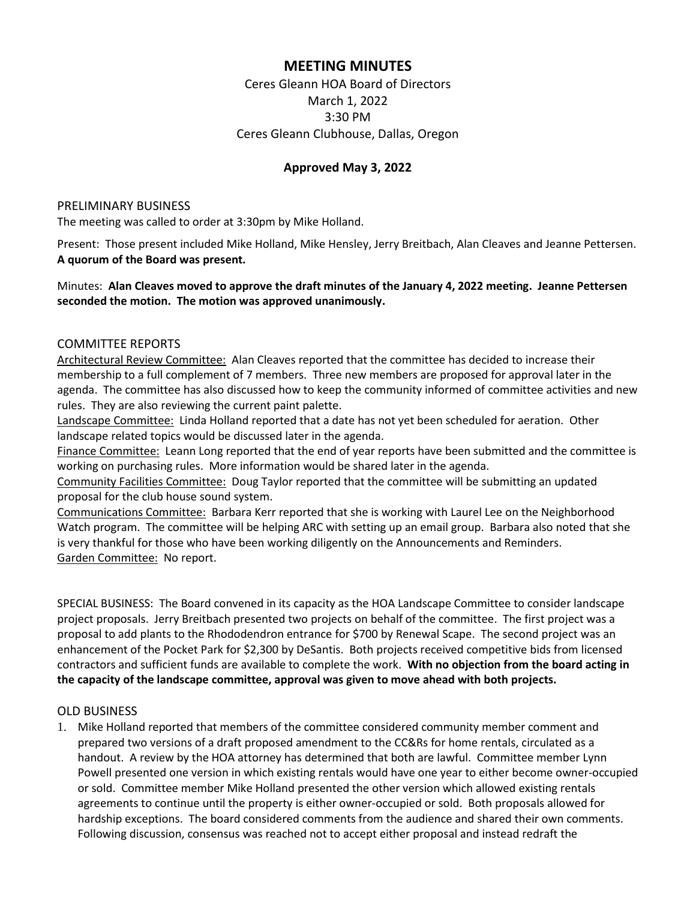# **MEETING MINUTES**

Ceres Gleann HOA Board of Directors March 1, 2022 3:30 PM Ceres Gleann Clubhouse, Dallas, Oregon

### **Approved May 3, 2022**

#### PRELIMINARY BUSINESS

The meeting was called to order at 3:30pm by Mike Holland.

Present: Those present included Mike Holland, Mike Hensley, Jerry Breitbach, Alan Cleaves and Jeanne Pettersen. **A quorum of the Board was present.**

### Minutes: **Alan Cleaves moved to approve the draft minutes of the January 4, 2022 meeting. Jeanne Pettersen seconded the motion. The motion was approved unanimously.**

#### COMMITTEE REPORTS

Architectural Review Committee: Alan Cleaves reported that the committee has decided to increase their membership to a full complement of 7 members. Three new members are proposed for approval later in the agenda. The committee has also discussed how to keep the community informed of committee activities and new rules. They are also reviewing the current paint palette.

Landscape Committee: Linda Holland reported that a date has not yet been scheduled for aeration. Other landscape related topics would be discussed later in the agenda.

Finance Committee: Leann Long reported that the end of year reports have been submitted and the committee is working on purchasing rules. More information would be shared later in the agenda.

Community Facilities Committee: Doug Taylor reported that the committee will be submitting an updated proposal for the club house sound system.

Communications Committee: Barbara Kerr reported that she is working with Laurel Lee on the Neighborhood Watch program. The committee will be helping ARC with setting up an email group. Barbara also noted that she is very thankful for those who have been working diligently on the Announcements and Reminders. Garden Committee: No report.

SPECIAL BUSINESS: The Board convened in its capacity as the HOA Landscape Committee to consider landscape project proposals. Jerry Breitbach presented two projects on behalf of the committee. The first project was a proposal to add plants to the Rhododendron entrance for \$700 by Renewal Scape. The second project was an enhancement of the Pocket Park for \$2,300 by DeSantis. Both projects received competitive bids from licensed contractors and sufficient funds are available to complete the work. **With no objection from the board acting in the capacity of the landscape committee, approval was given to move ahead with both projects.**

#### OLD BUSINESS

1. Mike Holland reported that members of the committee considered community member comment and prepared two versions of a draft proposed amendment to the CC&Rs for home rentals, circulated as a handout. A review by the HOA attorney has determined that both are lawful. Committee member Lynn Powell presented one version in which existing rentals would have one year to either become owner-occupied or sold. Committee member Mike Holland presented the other version which allowed existing rentals agreements to continue until the property is either owner-occupied or sold. Both proposals allowed for hardship exceptions. The board considered comments from the audience and shared their own comments. Following discussion, consensus was reached not to accept either proposal and instead redraft the